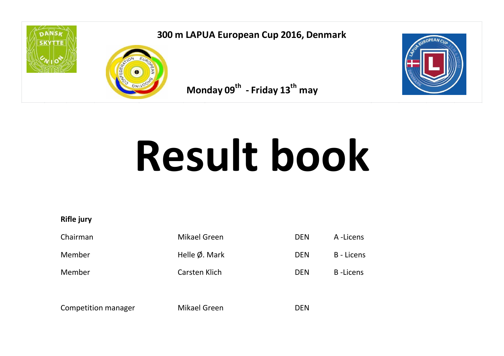

## **300 m LAPUA European Cup 2016, Denmark Monday 09<sup>th</sup> - Friday 13<sup>th</sup></u>**



 **may** 



# **Result book**

**Rifle jury**

| Chairman | Mikael Green             | <b>DEN</b> | A -Licens        |
|----------|--------------------------|------------|------------------|
| Member   | Helle $\emptyset$ . Mark | <b>DEN</b> | B - Licens       |
| Member   | Carsten Klich            | <b>DEN</b> | <b>B</b> -Licens |
|          |                          |            |                  |

Competition manager Mikael Green DEN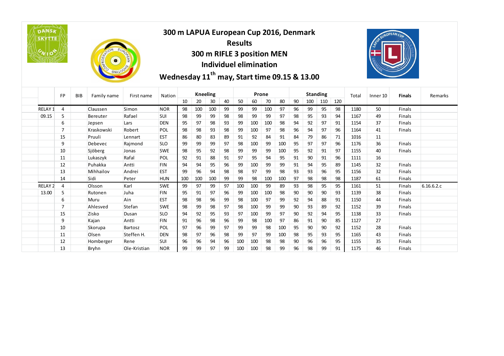| <b>DANSK</b><br><b>SKYTTE</b><br>$c_{\text{N}}$ 105 |                |            | FEDER<br>$\bullet$ | EUROPER      | 300 m LAPUA European Cup 2016, Denmark<br>Wednesday 11 <sup>th</sup> may, Start time 09.15 & 13.00 |     |     | 300 m RIFLE 3 position MEN<br>Individuel elimination |    | <b>Results</b> |       |     |     |    |                 |     |     |       | REUROPEAN CUA       |               |            |
|-----------------------------------------------------|----------------|------------|--------------------|--------------|----------------------------------------------------------------------------------------------------|-----|-----|------------------------------------------------------|----|----------------|-------|-----|-----|----|-----------------|-----|-----|-------|---------------------|---------------|------------|
|                                                     | <b>FP</b>      | <b>BIB</b> | Family name        | First name   | Nation                                                                                             |     |     | <b>Kneeling</b>                                      |    |                | Prone |     |     |    | <b>Standing</b> |     |     | Total | Inner <sub>10</sub> | <b>Finals</b> | Remarks    |
|                                                     |                |            |                    |              |                                                                                                    | 10  | 20  | 30                                                   | 40 | 50             | 60    | 70  | 80  | 90 | 100             | 110 | 120 |       |                     |               |            |
| RELAY <sub>1</sub>                                  | $\overline{4}$ |            | Claussen           | Simon        | <b>NOR</b>                                                                                         | 98  | 100 | 100                                                  | 99 | 99             | 99    | 100 | 97  | 96 | 99              | 95  | 98  | 1180  | 50                  | Finals        |            |
| 09.15                                               | 5              |            | <b>Bereuter</b>    | Rafael       | SUI                                                                                                | 98  | 99  | 99                                                   | 98 | 98             | 99    | 99  | 97  | 98 | 95              | 93  | 94  | 1167  | 49                  | Finals        |            |
|                                                     | 6              |            | Jepsen             | Lars         | <b>DEN</b>                                                                                         | 95  | 97  | 98                                                   | 93 | 99             | 100   | 100 | 98  | 94 | 92              | 97  | 91  | 1154  | 37                  | Finals        |            |
|                                                     | $\overline{7}$ |            | Kraskowski         | Robert       | POL                                                                                                | 98  | 98  | 93                                                   | 98 | 99             | 100   | 97  | 98  | 96 | 94              | 97  | 96  | 1164  | 41                  | Finals        |            |
|                                                     | 15             |            | Pruuli             | Lennart      | <b>EST</b>                                                                                         | 86  | 80  | 83                                                   | 89 | 91             | 92    | 84  | 91  | 84 | 79              | 86  | 71  | 1016  | 11                  |               |            |
|                                                     | 9              |            | Debevec            | Rajmond      | <b>SLO</b>                                                                                         | 99  | 99  | 99                                                   | 97 | 98             | 100   | 99  | 100 | 95 | 97              | 97  | 96  | 1176  | 36                  | Finals        |            |
|                                                     | 10             |            | Sjöberg            | Jonas        | <b>SWE</b>                                                                                         | 98  | 95  | 92                                                   | 98 | 99             | 99    | 99  | 100 | 95 | 92              | 91  | 97  | 1155  | 40                  | Finals        |            |
|                                                     | 11             |            | Lukaszyk           | Rafal        | POL                                                                                                | 92  | 91  | 88                                                   | 91 | 97             | 95    | 94  | 95  | 91 | 90              | 91  | 96  | 1111  | 16                  |               |            |
|                                                     | 12             |            | Puhakka            | Antti        | <b>FIN</b>                                                                                         | 94  | 94  | 95                                                   | 96 | 99             | 100   | 99  | 99  | 91 | 94              | 95  | 89  | 1145  | 32                  | Finals        |            |
|                                                     | 13             |            | Mihhailov          | Andrei       | <b>EST</b>                                                                                         | 99  | 96  | 94                                                   | 98 | 98             | 97    | 99  | 98  | 93 | 93              | 96  | 95  | 1156  | 32                  | <b>Finals</b> |            |
|                                                     | 14             |            | Sidi               | Peter        | <b>HUN</b>                                                                                         | 100 | 100 | 100                                                  | 99 | 99             | 98    | 100 | 100 | 97 | 98              | 98  | 98  | 1187  | 61                  | Finals        |            |
| <b>RELAY 2</b>                                      | $\overline{4}$ |            | Olsson             | Karl         | <b>SWE</b>                                                                                         | 99  | 97  | 99                                                   | 97 | 100            | 100   | 99  | 89  | 93 | 98              | 95  | 95  | 1161  | 51                  | Finals        | 6.16.6.2.c |
| 13.00                                               | 5              |            | Rutonen            | Juha         | <b>FIN</b>                                                                                         | 95  | 91  | 97                                                   | 96 | 99             | 100   | 100 | 98  | 90 | 90              | 90  | 93  | 1139  | 38                  | Finals        |            |
|                                                     | 6              |            | Muru               | Ain          | <b>EST</b>                                                                                         | 98  | 98  | 96                                                   | 99 | 98             | 100   | 97  | 99  | 92 | 94              | 88  | 91  | 1150  | 44                  | Finals        |            |
|                                                     | $\overline{7}$ |            | Ahlesved           | Stefan       | <b>SWE</b>                                                                                         | 98  | 99  | 98                                                   | 97 | 98             | 100   | 99  | 99  | 90 | 93              | 89  | 92  | 1152  | 39                  | Finals        |            |
|                                                     | 15             |            | Zisko              | Dusan        | <b>SLO</b>                                                                                         | 94  | 92  | 95                                                   | 93 | 97             | 100   | 99  | 97  | 90 | 92              | 94  | 95  | 1138  | 33                  | Finals        |            |
|                                                     | 9              |            | Kajan              | Antti        | <b>FIN</b>                                                                                         | 91  | 96  | 98                                                   | 96 | 99             | 98    | 100 | 97  | 86 | 91              | 90  | 85  | 1127  | 27                  |               |            |
|                                                     | 10             |            | Skorupa            | Bartosz      | <b>POL</b>                                                                                         | 97  | 96  | 99                                                   | 97 | 99             | 99    | 98  | 100 | 95 | 90              | 90  | 92  | 1152  | 28                  | Finals        |            |
|                                                     | 11             |            | Olsen              | Steffen H.   | <b>DEN</b>                                                                                         | 98  | 97  | 96                                                   | 98 | 99             | 97    | 99  | 100 | 98 | 95              | 93  | 95  | 1165  | 43                  | Finals        |            |
|                                                     | 12             |            | Homberger          | Rene         | SUI                                                                                                | 96  | 96  | 94                                                   | 96 | 100            | 100   | 98  | 98  | 90 | 96              | 96  | 95  | 1155  | 35                  | Finals        |            |
|                                                     | 13             |            | <b>Bryhn</b>       | Ole-Kristian | <b>NOR</b>                                                                                         | 99  | 99  | 97                                                   | 99 | 100            | 100   | 98  | 99  | 96 | 98              | 99  | 91  | 1175  | 46                  | Finals        |            |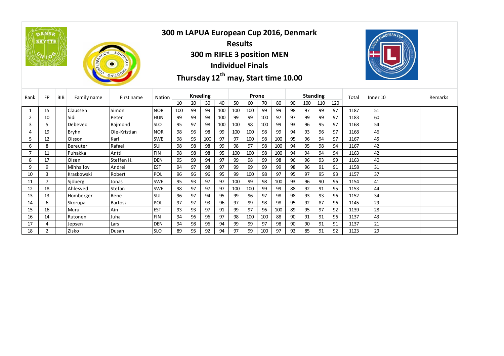|                | <b>DANSA</b><br><b>SKYTTE</b> |            | ONFEDERATION | EURORPE<br>$\bullet$ |            |     |    |                 | <b>Individuel Finals</b> | <b>Results</b> |       |     | 300 m RIFLE 3 position MEN<br>Thursday 12 <sup>th</sup> may, Start time 10.00 |    | 300 m LAPUA European Cup 2016, Denmark |     |     |       |          | EUROPEAN CUP |         |
|----------------|-------------------------------|------------|--------------|----------------------|------------|-----|----|-----------------|--------------------------|----------------|-------|-----|-------------------------------------------------------------------------------|----|----------------------------------------|-----|-----|-------|----------|--------------|---------|
| Rank           | <b>FP</b>                     | <b>BIB</b> | Family name  | First name           | Nation     |     |    | <b>Kneeling</b> |                          |                | Prone |     |                                                                               |    | <b>Standing</b>                        |     |     | Total | Inner 10 |              | Remarks |
|                |                               |            |              |                      |            | 10  | 20 | 30              | 40                       | 50             | 60    | 70  | 80                                                                            | 90 | 100                                    | 110 | 120 |       |          |              |         |
| 1              | 15                            |            | Claussen     | Simon                | <b>NOR</b> | 100 | 99 | 99              | 100                      | 100            | 100   | 99  | 99                                                                            | 98 | 97                                     | 99  | 97  | 1187  | 51       |              |         |
| $\overline{2}$ | 10                            |            | Sidi         | Peter                | <b>HUN</b> | 99  | 99 | 98              | 100                      | 99             | 99    | 100 | 97                                                                            | 97 | 99                                     | 99  | 97  | 1183  | 60       |              |         |
| 3              | 5                             |            | Debevec      | Raimond              | <b>SLO</b> | 95  | 97 | 98              | 100                      | 100            | 98    | 100 | 99                                                                            | 93 | 96                                     | 95  | 97  | 1168  | 54       |              |         |
| 4              | 19                            |            | <b>Bryhn</b> | Ole-Kristian         | <b>NOR</b> | 98  | 96 | 98              | 99                       | 100            | 100   | 98  | 99                                                                            | 94 | 93                                     | 96  | 97  | 1168  | 46       |              |         |
| 5              | 12                            |            | Olsson       | Karl                 | <b>SWE</b> | 98  | 95 | 100             | 97                       | 97             | 100   | 98  | 100                                                                           | 95 | 96                                     | 94  | 97  | 1167  | 45       |              |         |
| 6              | 8                             |            | Bereuter     | Rafael               | SUI        | 98  | 98 | 98              | 99                       | 98             | 97    | 98  | 100                                                                           | 94 | 95                                     | 98  | 94  | 1167  | 42       |              |         |
| 7              | 11                            |            | Puhakka      | Antti                | <b>FIN</b> | 98  | 98 | 98              | 95                       | 100            | 100   | 98  | 100                                                                           | 94 | 94                                     | 94  | 94  | 1163  | 42       |              |         |
| 8              | 17                            |            | Olsen        | Steffen H.           | <b>DEN</b> | 95  | 99 | 94              | 97                       | 99             | 98    | 99  | 98                                                                            | 96 | 96                                     | 93  | 99  | 1163  | 40       |              |         |
| 9              | 9                             |            | Mihhailov    | Andrei               | <b>EST</b> | 94  | 97 | 98              | 97                       | 99             | 99    | 99  | 99                                                                            | 98 | 96                                     | 91  | 91  | 1158  | 31       |              |         |
| 10             | 3                             |            | Kraskowski   | Robert               | POL        | 96  | 96 | 96              | 95                       | 99             | 100   | 98  | 97                                                                            | 95 | 97                                     | 95  | 93  | 1157  | 37       |              |         |
| 11             | $\overline{7}$                |            | Sjöberg      | Jonas                | <b>SWE</b> | 95  | 93 | 97              | 97                       | 100            | 99    | 98  | 100                                                                           | 93 | 96                                     | 90  | 96  | 1154  | 41       |              |         |
| 12             | 18                            |            | Ahlesved     | Stefan               | <b>SWE</b> | 98  | 97 | 97              | 97                       | 100            | 100   | 99  | 99                                                                            | 88 | 92                                     | 91  | 95  | 1153  | 44       |              |         |
| 13             | 13                            |            | Homberger    | Rene                 | <b>SUI</b> | 96  | 97 | 94              | 95                       | 99             | 96    | 97  | 98                                                                            | 98 | 93                                     | 93  | 96  | 1152  | 34       |              |         |
| 14             | 6                             |            | Skorupa      | <b>Bartosz</b>       | POL        | 97  | 97 | 93              | 96                       | 97             | 99    | 98  | 98                                                                            | 95 | 92                                     | 87  | 96  | 1145  | 29       |              |         |
| 15             | 16                            |            | Muru         | Ain                  | <b>EST</b> | 93  | 93 | 97              | 91                       | 99             | 97    | 96  | 100                                                                           | 89 | 95                                     | 97  | 92  | 1139  | 28       |              |         |
| 16             | 14                            |            | Rutonen      | Juha                 | <b>FIN</b> | 94  | 96 | 96              | 97                       | 98             | 100   | 100 | 88                                                                            | 90 | 91                                     | 91  | 96  | 1137  | 43       |              |         |
| 17             | 4                             |            | Jepsen       | Lars                 | <b>DEN</b> | 94  | 98 | 96              | 94                       | 99             | 99    | 97  | 98                                                                            | 90 | 90                                     | 91  | 91  | 1137  | 21       |              |         |
| 18             | 2                             |            | Zisko        | Dusan                | <b>SLO</b> | 89  | 95 | 92              | 94                       | 97             | 99    | 100 | 97                                                                            | 92 | 85                                     | 91  | 92  | 1123  | 29       |              |         |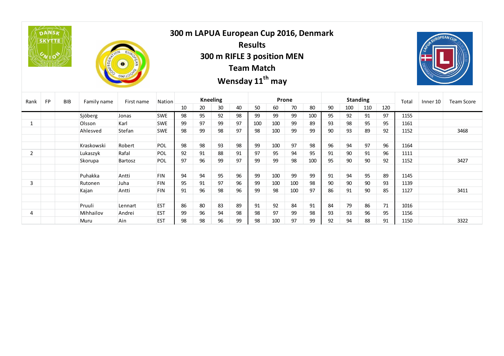|                | DANSK<br><b>SKYTTE</b> |            | ONFEDERATION | EUROPE<br>$\bullet$ |            |    | 300 m LAPUA European Cup 2016, Denmark |                 |    | <b>Results</b><br>300 m RIFLE 3 position MEN<br><b>Team Match</b><br>Wensday 11 <sup>th</sup> may |     |       |     |    |     |                 |     |       | ROUNDIDEAN CUA      |                   |
|----------------|------------------------|------------|--------------|---------------------|------------|----|----------------------------------------|-----------------|----|---------------------------------------------------------------------------------------------------|-----|-------|-----|----|-----|-----------------|-----|-------|---------------------|-------------------|
| Rank           | FP                     | <b>BIB</b> | Family name  | First name          | Nation     |    |                                        | <b>Kneeling</b> |    |                                                                                                   |     | Prone |     |    |     | <b>Standing</b> |     | Total | Inner <sub>10</sub> | <b>Team Score</b> |
|                |                        |            |              |                     |            | 10 | 20                                     | 30              | 40 | 50                                                                                                | 60  | 70    | 80  | 90 | 100 | 110             | 120 |       |                     |                   |
|                |                        |            | Sjöberg      | Jonas               | <b>SWE</b> | 98 | 95                                     | 92              | 98 | 99                                                                                                | 99  | 99    | 100 | 95 | 92  | 91              | 97  | 1155  |                     |                   |
| $\mathbf{1}$   |                        |            | Olsson       | Karl                | <b>SWE</b> | 99 | 97                                     | 99              | 97 | 100                                                                                               | 100 | 99    | 89  | 93 | 98  | 95              | 95  | 1161  |                     |                   |
|                |                        |            | Ahlesved     | Stefan              | <b>SWE</b> | 98 | 99                                     | 98              | 97 | 98                                                                                                | 100 | 99    | 99  | 90 | 93  | 89              | 92  | 1152  |                     | 3468              |
|                |                        |            |              |                     |            |    |                                        |                 |    |                                                                                                   |     |       |     |    |     |                 |     |       |                     |                   |
|                |                        |            | Kraskowski   | Robert              | POL        | 98 | 98                                     | 93              | 98 | 99                                                                                                | 100 | 97    | 98  | 96 | 94  | 97              | 96  | 1164  |                     |                   |
| $\overline{2}$ |                        |            | Lukaszyk     | Rafal               | POL        | 92 | 91                                     | 88              | 91 | 97                                                                                                | 95  | 94    | 95  | 91 | 90  | 91              | 96  | 1111  |                     |                   |
|                |                        |            | Skorupa      | Bartosz             | POL        | 97 | 96                                     | 99              | 97 | 99                                                                                                | 99  | 98    | 100 | 95 | 90  | 90              | 92  | 1152  |                     | 3427              |
|                |                        |            |              |                     |            |    |                                        |                 |    |                                                                                                   |     |       |     |    |     |                 |     |       |                     |                   |
|                |                        |            | Puhakka      | Antti               | <b>FIN</b> | 94 | 94                                     | 95              | 96 | 99                                                                                                | 100 | 99    | 99  | 91 | 94  | 95              | 89  | 1145  |                     |                   |
| 3              |                        |            | Rutonen      | Juha                | <b>FIN</b> | 95 | 91                                     | 97              | 96 | 99                                                                                                | 100 | 100   | 98  | 90 | 90  | 90              | 93  | 1139  |                     |                   |
|                |                        |            | Kajan        | Antti               | <b>FIN</b> | 91 | 96                                     | 98              | 96 | 99                                                                                                | 98  | 100   | 97  | 86 | 91  | 90              | 85  | 1127  |                     | 3411              |
|                |                        |            |              |                     |            |    |                                        |                 |    |                                                                                                   |     |       |     |    |     |                 |     |       |                     |                   |
|                |                        |            | Pruuli       | Lennart             | <b>EST</b> | 86 | 80                                     | 83              | 89 | 91                                                                                                | 92  | 84    | 91  | 84 | 79  | 86              | 71  | 1016  |                     |                   |
| 4              |                        |            | Mihhailov    | Andrei              | <b>EST</b> | 99 | 96                                     | 94              | 98 | 98                                                                                                | 97  | 99    | 98  | 93 | 93  | 96              | 95  | 1156  |                     |                   |
|                |                        |            | Muru         | Ain                 | <b>EST</b> | 98 | 98                                     | 96              | 99 | 98                                                                                                | 100 | 97    | 99  | 92 | 94  | 88              | 91  | 1150  |                     | 3322              |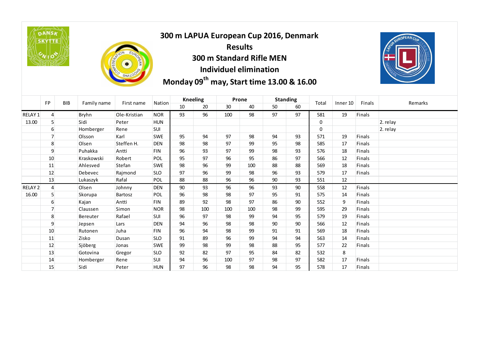**DANSA SKYTTE** 



#### **300 m LAPUA European Cup 2016, Denmark Results 300 m Standard Rifle MEN Individuel elimination Monday 09<sup>th</sup> may, Start time 13.00 & 16.00**



|                | FP               | BIB | Family name | First name   | Nation     |    | <b>Kneeling</b> |     | Prone |    | <b>Standing</b> | Total        | Inner 10 | Finals        | Remarks  |
|----------------|------------------|-----|-------------|--------------|------------|----|-----------------|-----|-------|----|-----------------|--------------|----------|---------------|----------|
|                |                  |     |             |              |            | 10 | 20              | 30  | 40    | 50 | 60              |              |          |               |          |
| <b>RELAY 1</b> | $\overline{4}$   |     | Bryhn       | Ole-Kristian | <b>NOR</b> | 93 | 96              | 100 | 98    | 97 | 97              | 581          | 19       | <b>Finals</b> |          |
| 13.00          | 5                |     | Sidi        | Peter        | <b>HUN</b> |    |                 |     |       |    |                 | $\mathbf 0$  |          |               | 2. relay |
|                | 6                |     | Homberger   | Rene         | <b>SUI</b> |    |                 |     |       |    |                 | $\mathbf{0}$ |          |               | 2. relay |
|                | $\overline{7}$   |     | Olsson      | Karl         | <b>SWE</b> | 95 | 94              | 97  | 98    | 94 | 93              | 571          | 19       | <b>Finals</b> |          |
|                | 8                |     | Olsen       | Steffen H.   | <b>DEN</b> | 98 | 98              | 97  | 99    | 95 | 98              | 585          | 17       | <b>Finals</b> |          |
|                | 9                |     | Puhakka     | Antti        | <b>FIN</b> | 96 | 93              | 97  | 99    | 98 | 93              | 576          | 18       | <b>Finals</b> |          |
|                | 10               |     | Kraskowski  | Robert       | <b>POL</b> | 95 | 97              | 96  | 95    | 86 | 97              | 566          | 12       | <b>Finals</b> |          |
|                | 11               |     | Ahlesved    | Stefan       | <b>SWE</b> | 98 | 96              | 99  | 100   | 88 | 88              | 569          | 18       | <b>Finals</b> |          |
|                | 12               |     | Debevec     | Rajmond      | <b>SLO</b> | 97 | 96              | 99  | 98    | 96 | 93              | 579          | 17       | <b>Finals</b> |          |
|                | 13               |     | Lukaszyk    | Rafal        | <b>POL</b> | 88 | 88              | 96  | 96    | 90 | 93              | 551          | 12       |               |          |
| RELAY 2        | $\overline{4}$   |     | Olsen       | Johnny       | <b>DEN</b> | 90 | 93              | 96  | 96    | 93 | 90              | 558          | 12       | <b>Finals</b> |          |
| 16.00          | 5                |     | Skorupa     | Bartosz      | POL        | 96 | 98              | 98  | 97    | 95 | 91              | 575          | 14       | <b>Finals</b> |          |
|                | $6 \overline{6}$ |     | Kajan       | Antti        | <b>FIN</b> | 89 | 92              | 98  | 97    | 86 | 90              | 552          | 9        | <b>Finals</b> |          |
|                | $\overline{7}$   |     | Claussen    | Simon        | <b>NOR</b> | 98 | 100             | 100 | 100   | 98 | 99              | 595          | 29       | <b>Finals</b> |          |
|                | 8                |     | Bereuter    | Rafael       | <b>SUI</b> | 96 | 97              | 98  | 99    | 94 | 95              | 579          | 19       | <b>Finals</b> |          |
|                | 9                |     | Jepsen      | Lars         | <b>DEN</b> | 94 | 96              | 98  | 98    | 90 | 90              | 566          | 12       | Finals        |          |
|                | 10               |     | Rutonen     | Juha         | <b>FIN</b> | 96 | 94              | 98  | 99    | 91 | 91              | 569          | 18       | <b>Finals</b> |          |
|                | 11               |     | Zisko       | Dusan        | <b>SLO</b> | 91 | 89              | 96  | 99    | 94 | 94              | 563          | 14       | Finals        |          |
|                | 12               |     | Sjöberg     | Jonas        | <b>SWE</b> | 99 | 98              | 99  | 98    | 88 | 95              | 577          | 22       | Finals        |          |
|                | 13               |     | Gotovina    | Gregor       | <b>SLO</b> | 92 | 82              | 97  | 95    | 84 | 82              | 532          | 8        |               |          |
|                | 14               |     | Homberger   | Rene         | <b>SUI</b> | 94 | 96              | 100 | 97    | 98 | 97              | 582          | 17       | <b>Finals</b> |          |
|                | 15               |     | Sidi        | Peter        | <b>HUN</b> | 97 | 96              | 98  | 98    | 94 | 95              | 578          | 17       | Finals        |          |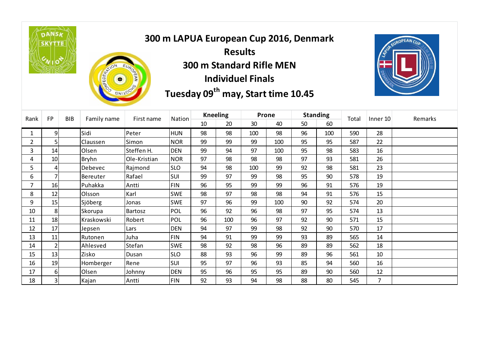**DANSA SKYTTE** 



## **300 m LAPUA European Cup 2016, Denmark Results 300 m Standard Rifle MEN Individuel Finals Tuesday 09<sup>th</sup> may, Start time 10.45**



| Rank           | <b>FP</b>                | <b>BIB</b> | Family name  | First name   | Nation     | <b>Kneeling</b> |     | Prone |     | <b>Standing</b> |     | Total | Inner 10 | Remarks |
|----------------|--------------------------|------------|--------------|--------------|------------|-----------------|-----|-------|-----|-----------------|-----|-------|----------|---------|
|                |                          |            |              |              |            | 10              | 20  | 30    | 40  | 50              | 60  |       |          |         |
|                | 9                        |            | Sidi         | Peter        | <b>HUN</b> | 98              | 98  | 100   | 98  | 96              | 100 | 590   | 28       |         |
| $\overline{2}$ | 5                        |            | Claussen     | Simon        | <b>NOR</b> | 99              | 99  | 99    | 100 | 95              | 95  | 587   | 22       |         |
| 3              | 14                       |            | Olsen        | Steffen H.   | <b>DEN</b> | 99              | 94  | 97    | 100 | 95              | 98  | 583   | 16       |         |
| 4              | 10                       |            | <b>Bryhn</b> | Ole-Kristian | <b>NOR</b> | 97              | 98  | 98    | 98  | 97              | 93  | 581   | 26       |         |
| 5              | 4                        |            | Debevec      | Rajmond      | <b>SLO</b> | 94              | 98  | 100   | 99  | 92              | 98  | 581   | 23       |         |
| 6              |                          |            | Bereuter     | Rafael       | SUI        | 99              | 97  | 99    | 98  | 95              | 90  | 578   | 19       |         |
| 7              | 16                       |            | Puhakka      | Antti        | <b>FIN</b> | 96              | 95  | 99    | 99  | 96              | 91  | 576   | 19       |         |
| 8              | 12                       |            | Olsson       | Karl         | <b>SWE</b> | 98              | 97  | 98    | 98  | 94              | 91  | 576   | 15       |         |
| 9              | 15                       |            | Sjöberg      | Jonas        | <b>SWE</b> | 97              | 96  | 99    | 100 | 90              | 92  | 574   | 20       |         |
| 10             | 8                        |            | Skorupa      | Bartosz      | <b>POL</b> | 96              | 92  | 96    | 98  | 97              | 95  | 574   | 13       |         |
| 11             | 18                       |            | Kraskowski   | Robert       | <b>POL</b> | 96              | 100 | 96    | 97  | 92              | 90  | 571   | 15       |         |
| 12             | 17                       |            | Jepsen       | Lars         | <b>DEN</b> | 94              | 97  | 99    | 98  | 92              | 90  | 570   | 17       |         |
| 13             | 11                       |            | Rutonen      | Juha         | <b>FIN</b> | 94              | 91  | 99    | 99  | 93              | 89  | 565   | 14       |         |
| 14             | $\overline{\phantom{a}}$ |            | Ahlesved     | Stefan       | <b>SWE</b> | 98              | 92  | 98    | 96  | 89              | 89  | 562   | 18       |         |
| 15             | 13                       |            | Zisko        | Dusan        | <b>SLO</b> | 88              | 93  | 96    | 99  | 89              | 96  | 561   | 10       |         |
| 16             | 19                       |            | Homberger    | Rene         | SUI        | 95              | 97  | 96    | 93  | 85              | 94  | 560   | 16       |         |
| 17             | 6                        |            | Olsen        | Johnny       | <b>DEN</b> | 95              | 96  | 95    | 95  | 89              | 90  | 560   | 12       |         |
| 18             | 3                        |            | Kajan        | Antti        | <b>FIN</b> | 92              | 93  | 94    | 98  | 88              | 80  | 545   | 7        |         |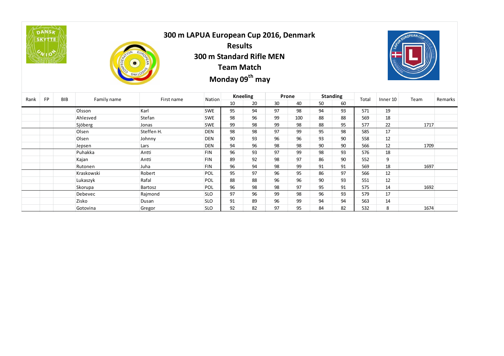

## **300 m LAPUA European Cup 2016, Denmark Results 300 m Standard Rifle MEN European Cu<br>
Results<br>
m Standard R<br>
Team Mate<br>
Monday 09<sup>th</sup>**

**Team Match**

 **may**



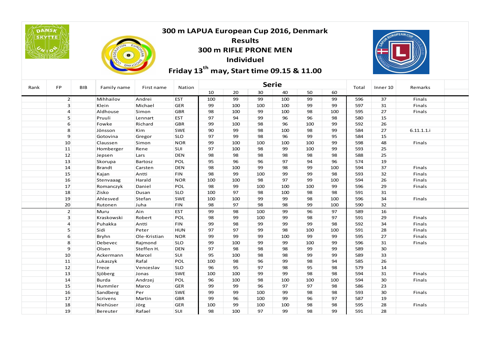|      | DANSK<br><b>SKYTTE</b><br>10S |            |               |              | 300 m LAPUA European Cup 2016, Denmark<br>Friday 13 <sup>th</sup> may, Start time 09.15 & 11.00 | 300 m RIFLE PRONE MEN | <b>Results</b><br><b>Individuel</b> |              |     |     |     |       | EUROPEAN CU |            |  |
|------|-------------------------------|------------|---------------|--------------|-------------------------------------------------------------------------------------------------|-----------------------|-------------------------------------|--------------|-----|-----|-----|-------|-------------|------------|--|
| Rank | FP                            | <b>BIB</b> | Family name   | First name   | Nation                                                                                          |                       |                                     | <b>Serie</b> |     |     |     | Total | Inner 10    | Remarks    |  |
|      |                               |            |               |              |                                                                                                 | 10                    | 20                                  | 30           | 40  | 50  | 60  |       |             |            |  |
|      | 2 <sup>2</sup>                |            | Mihhailov     | Andrei       | <b>EST</b>                                                                                      | 100                   | 99                                  | 99           | 100 | 99  | 99  | 596   | 37          | Finals     |  |
|      | $\overline{\mathbf{3}}$       |            | Klein         | Michael      | <b>GER</b>                                                                                      | 99                    | 100                                 | 100          | 100 | 99  | 99  | 597   | 31          | Finals     |  |
|      | $\overline{4}$                |            | Aldhouse      | Simon        | <b>GBR</b>                                                                                      | 98                    | 100                                 | 99           | 100 | 98  | 100 | 595   | 27          | Finals     |  |
|      | 5                             |            | Pruuli        | Lennart      | <b>EST</b>                                                                                      | 97                    | 94                                  | 99           | 96  | 96  | 98  | 580   | 15          |            |  |
|      | 6                             |            | Fowke         | Richard      | <b>GBR</b>                                                                                      | 99                    | 100                                 | 98           | 96  | 100 | 99  | 592   | 26          |            |  |
|      | 8                             |            | Jönsson       | Kim          | <b>SWE</b>                                                                                      | 90                    | 99                                  | 98           | 100 | 98  | 99  | 584   | 27          | 6.11.1.1.1 |  |
|      | $\mathbf{9}$                  |            | Gotovina      | Gregor       | <b>SLO</b>                                                                                      | 97                    | 99                                  | 98           | 96  | 99  | 95  | 584   | 15          |            |  |
|      | 10                            |            | Claussen      | Simon        | <b>NOR</b>                                                                                      | 99                    | 100                                 | 100          | 100 | 100 | 99  | 598   | 48          | Finals     |  |
|      | 11                            |            | Homberger     | Rene         | SUI                                                                                             | 97                    | 100                                 | 98           | 99  | 100 | 99  | 593   | 25          |            |  |
|      | 12                            |            | Jepsen        | Lars         | <b>DEN</b>                                                                                      | 98                    | 98                                  | 98           | 98  | 98  | 98  | 588   | 25          |            |  |
|      | 13                            |            | Skorupa       | Bartosz      | POL                                                                                             | 95                    | 96                                  | 96           | 97  | 94  | 96  | 574   | 19          |            |  |
|      | 14                            |            | <b>Brandt</b> | Carsten      | <b>DEN</b>                                                                                      | 98                    | 100                                 | 99           | 98  | 99  | 100 | 594   | 37          | Finals     |  |
|      | 15                            |            | Kajan         | Antti        | <b>FIN</b>                                                                                      | 98                    | 99                                  | 100          | 99  | 99  | 98  | 593   | 32          | Finals     |  |
|      | 16                            |            | Stenvaaag     | Harald       | <b>NOR</b>                                                                                      | 100                   | 100                                 | 98           | 97  | 99  | 100 | 594   | 26          | Finals     |  |
|      | 17                            |            | Romanczyk     | Daniel       | POL                                                                                             | 98                    | 99                                  | 100          | 100 | 100 | 99  | 596   | 29          | Finals     |  |
|      | 18                            |            | Zisko         | Dusan        | <b>SLO</b>                                                                                      | 100                   | 97                                  | 98           | 100 | 98  | 98  | 591   | 31          |            |  |
|      | 19                            |            | Ahlesved      | Stefan       | <b>SWE</b>                                                                                      | 100                   | 100                                 | 99           | 99  | 98  | 100 | 596   | 34          | Finals     |  |
|      | 20                            |            | Rutonen       | Juha         | <b>FIN</b>                                                                                      | 98                    | 97                                  | 98           | 98  | 99  | 100 | 590   | 32          |            |  |
|      | 2                             |            | Muru          | Ain          | <b>EST</b>                                                                                      | 99                    | 98                                  | 100          | 99  | 96  | 97  | 589   | 16          |            |  |
|      | $\overline{3}$                |            | Kraskowski    | Robert       | POL                                                                                             | 98                    | 99                                  | 100          | 99  | 98  | 97  | 591   | 29          | Finals     |  |
|      | $\overline{4}$                |            | Puhakka       | Antti        | <b>FIN</b>                                                                                      | 99                    | 98                                  | 99           | 99  | 99  | 98  | 592   | 34          | Finals     |  |
|      | 5                             |            | Sidi          | Peter        | <b>HUN</b>                                                                                      | 97                    | 97                                  | 99           | 98  | 100 | 100 | 591   | 28          | Finals     |  |
|      | 6                             |            | Bryhn         | Ole-Kristian | <b>NOR</b>                                                                                      | 99                    | 99                                  | 99           | 100 | 99  | 99  | 595   | 27          | Finals     |  |
|      | 8                             |            | Debevec       | Rajmond      | <b>SLO</b>                                                                                      | 99                    | 100                                 | 99           | 99  | 100 | 99  | 596   | 31          | Finals     |  |
|      | $\mathbf{9}$                  |            | Olsen         | Steffen H.   | <b>DEN</b>                                                                                      | 97                    | 98                                  | 98           | 98  | 99  | 99  | 589   | 30          |            |  |
|      | 10                            |            | Ackermann     | Marcel       | SUI                                                                                             | 95                    | 100                                 | 98           | 98  | 99  | 99  | 589   | 33          |            |  |
|      | 11                            |            | Lukaszyk      | Rafal        | POL                                                                                             | 100                   | 98                                  | 96           | 99  | 98  | 94  | 585   | 26          |            |  |
|      | 12                            |            | Frece         | Venceslav    | <b>SLO</b>                                                                                      | 96                    | 95                                  | 97           | 98  | 95  | 98  | 579   | 14          |            |  |
|      | 13                            |            | Sjöberg       | Jonas        | <b>SWE</b>                                                                                      | 100                   | 100                                 | 99           | 99  | 98  | 98  | 594   | 31          | Finals     |  |
|      | 14                            |            | Burda         | Andrzej      | POL                                                                                             | 96                    | 100                                 | 98           | 100 | 100 | 100 | 594   | 30          | Finals     |  |
|      | 15                            |            | Hummler       | Marco        | <b>GER</b>                                                                                      | 99                    | 99                                  | 96           | 97  | 97  | 98  | 586   | 23          |            |  |
|      | 16                            |            | Sandberg      | Per          | <b>SWE</b>                                                                                      | 99                    | 99                                  | 100          | 99  | 98  | 98  | 593   | 30          | Finals     |  |
|      | 17                            |            | Scrivens      | Martin       | <b>GBR</b>                                                                                      | 99                    | 96                                  | 100          | 99  | 96  | 97  | 587   | 19          |            |  |
|      | 18                            |            | Niehüser      | Jörg         | <b>GER</b>                                                                                      | 100                   | 99                                  | 100          | 100 | 98  | 98  | 595   | 28          | Finals     |  |
|      | 19                            |            | Bereuter      | Rafael       | SUI                                                                                             | 98                    | 100                                 | 97           | 99  | 98  | 99  | 591   | 28          |            |  |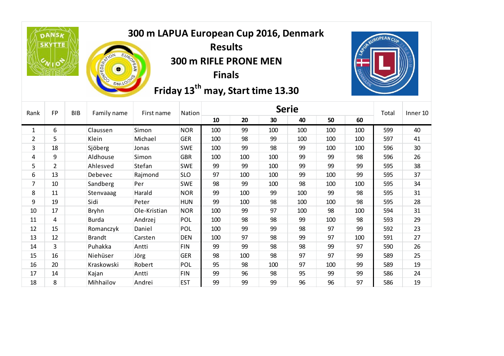**DANSK SKYTTE** 



## **300 m LAPUA European Cup 2016, Denmark**

**Results 300 m RIFLE PRONE MEN Finals**

**Friday 13<sup>th</sup> may, Start time 13.30** 



| Rank           | <b>FP</b>      | <b>BIB</b> | Family name   | First name   | Nation     |     |     | <b>Serie</b> |     |     |     | Total | Inner 10 |
|----------------|----------------|------------|---------------|--------------|------------|-----|-----|--------------|-----|-----|-----|-------|----------|
|                |                |            |               |              |            | 10  | 20  | 30           | 40  | 50  | 60  |       |          |
| 1              | 6              |            | Claussen      | Simon        | <b>NOR</b> | 100 | 99  | 100          | 100 | 100 | 100 | 599   | 40       |
| $\overline{2}$ | 5              |            | Klein         | Michael      | <b>GER</b> | 100 | 98  | 99           | 100 | 100 | 100 | 597   | 41       |
| 3              | 18             |            | Sjöberg       | Jonas        | <b>SWE</b> | 100 | 99  | 98           | 99  | 100 | 100 | 596   | 30       |
| 4              | 9              |            | Aldhouse      | Simon        | <b>GBR</b> | 100 | 100 | 100          | 99  | 99  | 98  | 596   | 26       |
| 5              | $\overline{2}$ |            | Ahlesved      | Stefan       | <b>SWE</b> | 99  | 99  | 100          | 99  | 99  | 99  | 595   | 38       |
| 6              | 13             |            | Debevec       | Rajmond      | <b>SLO</b> | 97  | 100 | 100          | 99  | 100 | 99  | 595   | 37       |
| $\overline{7}$ | 10             |            | Sandberg      | Per          | <b>SWE</b> | 98  | 99  | 100          | 98  | 100 | 100 | 595   | 34       |
| 8              | 11             |            | Stenvaaag     | Harald       | <b>NOR</b> | 99  | 100 | 99           | 100 | 99  | 98  | 595   | 31       |
| 9              | 19             |            | Sidi          | Peter        | <b>HUN</b> | 99  | 100 | 98           | 100 | 100 | 98  | 595   | 28       |
| 10             | 17             |            | <b>Bryhn</b>  | Ole-Kristian | <b>NOR</b> | 100 | 99  | 97           | 100 | 98  | 100 | 594   | 31       |
| 11             | 4              |            | <b>Burda</b>  | Andrzej      | POL        | 100 | 98  | 98           | 99  | 100 | 98  | 593   | 29       |
| 12             | 15             |            | Romanczyk     | Daniel       | <b>POL</b> | 100 | 99  | 99           | 98  | 97  | 99  | 592   | 23       |
| 13             | 12             |            | <b>Brandt</b> | Carsten      | <b>DEN</b> | 100 | 97  | 98           | 99  | 97  | 100 | 591   | 27       |
| 14             | 3              |            | Puhakka       | Antti        | <b>FIN</b> | 99  | 99  | 98           | 98  | 99  | 97  | 590   | 26       |
| 15             | 16             |            | Niehüser      | Jörg         | <b>GER</b> | 98  | 100 | 98           | 97  | 97  | 99  | 589   | 25       |
| 16             | 20             |            | Kraskowski    | Robert       | <b>POL</b> | 95  | 98  | 100          | 97  | 100 | 99  | 589   | 19       |
| 17             | 14             |            | Kajan         | Antti        | <b>FIN</b> | 99  | 96  | 98           | 95  | 99  | 99  | 586   | 24       |
| 18             | 8              |            | Mihhailov     | Andrei       | <b>EST</b> | 99  | 99  | 99           | 96  | 96  | 97  | 586   | 19       |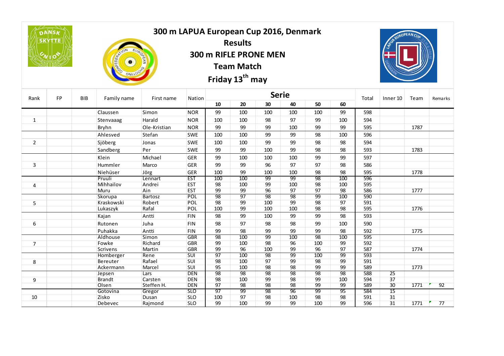|                | <b>DANSK</b><br><b>SKYTTE</b> |            | <b>FEDERATION</b>       | 300 m LAPUA European Cup 2016, Denmark<br>EAN |                          |                 | <b>Results</b><br><b>Team Match</b><br>Friday 13 <sup>th</sup> may | 300 m RIFLE PRONE MEN |                       |                       |                       |            | SUP EUROPEAN CUA |      |         |
|----------------|-------------------------------|------------|-------------------------|-----------------------------------------------|--------------------------|-----------------|--------------------------------------------------------------------|-----------------------|-----------------------|-----------------------|-----------------------|------------|------------------|------|---------|
| Rank           | FP                            | <b>BIB</b> | Family name             | First name                                    | Nation                   |                 |                                                                    | <b>Serie</b>          |                       |                       |                       | Total      | Inner 10         | Team | Remarks |
|                |                               |            |                         |                                               |                          | 10              | 20                                                                 | 30                    | 40                    | 50                    | 60                    |            |                  |      |         |
|                |                               |            | Claussen                | Simon                                         | <b>NOR</b>               | 99              | 100                                                                | 100                   | 100                   | 100                   | 99                    | 598        |                  |      |         |
| $\mathbf{1}$   |                               |            | Stenvaaag               | Harald                                        | <b>NOR</b>               | 100             | 100                                                                | 98                    | 97                    | 99                    | 100                   | 594        |                  |      |         |
|                |                               |            | Bryhn                   | Ole-Kristian                                  | <b>NOR</b>               | 99              | 99                                                                 | 99                    | 100                   | 99                    | 99                    | 595        |                  | 1787 |         |
|                |                               |            | Ahlesved                | Stefan                                        | <b>SWE</b>               | 100             | 100                                                                | 99                    | 99                    | 98                    | 100                   | 596        |                  |      |         |
| $\overline{2}$ |                               |            | Sjöberg                 | Jonas                                         | <b>SWE</b>               | 100             | 100                                                                | 99                    | 99                    | 98                    | 98                    | 594        |                  |      |         |
|                |                               |            | Sandberg                | Per                                           | <b>SWE</b>               | 99              | 99                                                                 | 100                   | 99                    | 98                    | 98                    | 593        |                  | 1783 |         |
|                |                               |            | Klein                   | Michael                                       | <b>GER</b>               | 99              | 100                                                                | 100                   | 100                   | 99                    | 99                    | 597        |                  |      |         |
| 3              |                               |            | Hummler                 | Marco                                         | <b>GER</b>               | 99              | 99                                                                 | 96                    | 97                    | 97                    | 98                    | 586        |                  |      |         |
|                |                               |            | Niehüser                | Jörg                                          | <b>GER</b>               | 100             | 99                                                                 | 100                   | 100                   | 98                    | 98                    | 595        |                  | 1778 |         |
|                |                               |            | Pruuli                  | Lennart                                       | <b>EST</b>               | 100             | 100                                                                | 99                    | 99                    | 98                    | 100                   | 596        |                  |      |         |
| 4              |                               |            | Mihhailov               | Andrei                                        | <b>EST</b>               | 98              | 100                                                                | 99                    | 100                   | 98                    | 100                   | 595        |                  |      |         |
|                |                               |            | Muru                    | Ain                                           | <b>EST</b>               | 99              | 99                                                                 | 96                    | 97                    | 97                    | 98                    | 586        |                  | 1777 |         |
|                |                               |            | Skorupa                 | Bartosz                                       | <b>POL</b>               | 98              | 97                                                                 | $\overline{98}$       | 98                    | 99                    | 100                   | 590        |                  |      |         |
| 5              |                               |            | Kraskowski              | Robert                                        | POL                      | 98              | 99                                                                 | 100                   | 99                    | 98                    | 97                    | 591        |                  |      |         |
|                |                               |            | Lukaszyk                | Rafal                                         | <b>POL</b>               | 100             | 99                                                                 | 100                   | 100                   | 98                    | 98                    | 595        |                  | 1776 |         |
|                |                               |            | Kajan                   | Antti                                         | <b>FIN</b>               | 98              | 99                                                                 | 100                   | 99                    | 99                    | 98                    | 593        |                  |      |         |
| 6              |                               |            | Rutonen                 | Juha                                          | <b>FIN</b>               | 98              | 97                                                                 | 98                    | 98                    | 99                    | 100                   | 590        |                  |      |         |
|                |                               |            | Puhakka                 | Antti                                         | FIN                      | 99              | 98                                                                 | 99                    | 99                    | 99                    | 98                    | 592        |                  | 1775 |         |
|                |                               |            | Aldhouse                | Simon                                         | <b>GBR</b>               | $\overline{98}$ | 100                                                                | 99                    | 100                   | 98                    | 100                   | 595        |                  |      |         |
| $\overline{7}$ |                               |            | Fowke                   | Richard                                       | <b>GBR</b>               | 99              | 100                                                                | 98                    | 96                    | 100                   | 99                    | 592        |                  |      |         |
|                |                               |            | Scrivens                | Martin                                        | <b>GBR</b>               | 99              | 96                                                                 | 100                   | 99                    | 96                    | 97                    | 587        |                  | 1774 |         |
|                |                               |            | Homberger               | Rene                                          | SUI                      | 97              | 100                                                                | 98                    | 99                    | 100                   | 99                    | 593        |                  |      |         |
| 8              |                               |            | Bereuter                | Rafael                                        | SUI                      | 98              | 100                                                                | 97                    | 99                    | 98                    | 99                    | 591        |                  |      |         |
|                |                               |            | Ackermann               | Marcel                                        | SUI                      | 95<br>98        | 100<br>$\overline{98}$                                             | 98<br>98              | 98<br>$\overline{98}$ | 99<br>$\overline{98}$ | 99<br>$\overline{98}$ | 589<br>588 | $\overline{25}$  | 1773 |         |
|                |                               |            | Jepsen<br><b>Brandt</b> | Lars<br>Carsten                               | <b>DEN</b><br><b>DEN</b> | 98              | 100                                                                | 99                    | 98                    | 99                    | 100                   | 594        | 37               |      |         |
| 9              |                               |            | Olsen                   | Steffen H.                                    | <b>DEN</b>               | 97              | 98                                                                 | 98                    | 98                    | 99                    | 99                    | 589        | 30               | 1771 | 92      |
|                |                               |            | Gotovina                | Gregor                                        | <b>SLO</b>               | 97              | 99                                                                 | 98                    | 96                    | 99                    | 95                    | 584        | $\overline{15}$  |      |         |
| 10             |                               |            | Zisko                   | Dusan                                         | <b>SLO</b>               | 100             | 97                                                                 | 98                    | 100                   | 98                    | 98                    | 591        | 31               |      |         |
|                |                               |            | Debevec                 | Rajmond                                       | <b>SLO</b>               | 99              | 100                                                                | 99                    | 99                    | 100                   | 99                    | 596        | 31               | 1771 | 77      |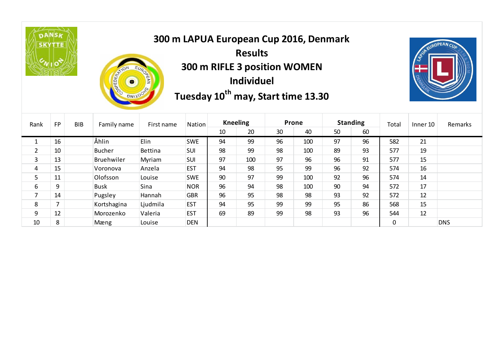



**300 m LAPUA European Cup 2016, Denmark Results 300 m RIFLE 3 position WOMEN Individuel Tuesday 10<sup>th</sup> may, Start time 13.30** 



| Rank | <b>FP</b> | <b>BIB</b> | Family name   | First name | Nation     | <b>Kneeling</b> |     | Prone |     |    | <b>Standing</b> | Total    | Inner 10 | Remarks    |
|------|-----------|------------|---------------|------------|------------|-----------------|-----|-------|-----|----|-----------------|----------|----------|------------|
|      |           |            |               |            |            | 10              | 20  | 30    | 40  | 50 | 60              |          |          |            |
|      | 16        |            | Åhlin         | Elin       | <b>SWE</b> | 94              | 99  | 96    | 100 | 97 | 96              | 582      | 21       |            |
| 2    | 10        |            | <b>Bucher</b> | Bettina    | SUI        | 98              | 99  | 98    | 100 | 89 | 93              | 577      | 19       |            |
| 3    | 13        |            | Bruehwiler    | Myriam     | SUI        | 97              | 100 | 97    | 96  | 96 | 91              | 577      | 15       |            |
| 4    | 15        |            | Voronova      | Anzela     | <b>EST</b> | 94              | 98  | 95    | 99  | 96 | 92              | 574      | 16       |            |
| 5    | 11        |            | Olofsson      | Louise     | <b>SWE</b> | 90              | 97  | 99    | 100 | 92 | 96              | 574      | 14       |            |
| 6    | 9         |            | <b>Busk</b>   | Sina       | <b>NOR</b> | 96              | 94  | 98    | 100 | 90 | 94              | 572      | 17       |            |
|      | 14        |            | Pugsley       | Hannah     | <b>GBR</b> | 96              | 95  | 98    | 98  | 93 | 92              | 572      | 12       |            |
| 8    |           |            | Kortshagina   | Ljudmila   | <b>EST</b> | 94              | 95  | 99    | 99  | 95 | 86              | 568      | 15       |            |
| 9    | 12        |            | Morozenko     | Valeria    | <b>EST</b> | 69              | 89  | 99    | 98  | 93 | 96              | 544      | 12       |            |
| 10   | 8         |            | Mæng          | Louise     | <b>DEN</b> |                 |     |       |     |    |                 | $\Omega$ |          | <b>DNS</b> |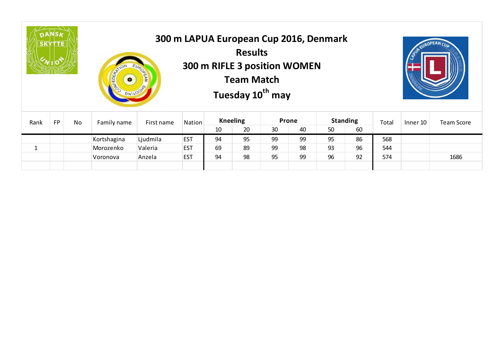



## **300 m LAPUA European Cup 2016, Denmark Results 300 m RIFLE 3 position WOMEN Team Match European Co.**<br>Results<br>RIFLE 3 positi<br>Tuesday 10<sup>th</sup>  **may**



|           |    | <b>CONFEDER</b><br>$\overline{\bullet}$ | <b>DEAN</b> |                               |        |    |                 |                   |                                       |    |                 |          |                   |  |
|-----------|----|-----------------------------------------|-------------|-------------------------------|--------|----|-----------------|-------------------|---------------------------------------|----|-----------------|----------|-------------------|--|
| <b>FP</b> | No |                                         |             |                               |        |    |                 |                   |                                       |    |                 | Inner 10 | <b>Team Score</b> |  |
|           |    |                                         |             |                               | 10     | 20 | 30              | 40                | 50                                    | 60 |                 |          |                   |  |
|           |    | Kortshagina                             | Ljudmila    | <b>EST</b>                    | 94     | 95 | 99              | 99                | 95                                    | 86 | 568             |          |                   |  |
|           |    | Morozenko                               | Valeria     | <b>EST</b>                    | 69     | 89 | 99              | 98                | 93                                    | 96 | 544             |          |                   |  |
|           |    | Voronova                                | Anzela      | <b>EST</b>                    | 94     | 98 | 95              | 99                | 96                                    | 92 | 574             |          | 1686              |  |
|           |    |                                         |             |                               |        |    |                 |                   |                                       |    |                 |          |                   |  |
|           |    | ◝>⊮≥⊪⊵⊮                                 | Family name | <b>SNILOOKS</b><br>First name | Nation |    | <b>Kneeling</b> | <b>Team Match</b> | Tuesday 10 <sup>th</sup> may<br>Prone |    | <b>Standing</b> | Total    |                   |  |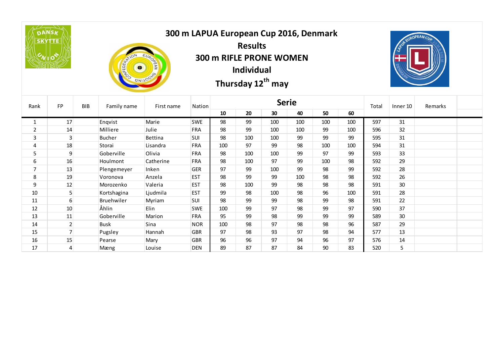**DANSA SKYTTE** 



## **300 m LAPUA European Cup 2016, Denmark Results 300 m RIFLE PRONE WOMEN Individual The European Cutter Secults**<br> **Thursday 12<sup>th</sup><br>
Thursday 12<sup>th</sup> may**



| Rank           | <b>FP</b>      | <b>BIB</b> | Family name   | First name | Nation     | <b>Serie</b> |     |     |     |     |     |     | Inner 10 | Remarks |  |
|----------------|----------------|------------|---------------|------------|------------|--------------|-----|-----|-----|-----|-----|-----|----------|---------|--|
|                |                |            |               |            |            | 10           | 20  | 30  | 40  | 50  | 60  |     |          |         |  |
|                | 17             |            | Enqvist       | Marie      | <b>SWE</b> | 98           | 99  | 100 | 100 | 100 | 100 | 597 | 31       |         |  |
| $\overline{2}$ | 14             |            | Milliere      | Julie      | <b>FRA</b> | 98           | 99  | 100 | 100 | 99  | 100 | 596 | 32       |         |  |
| 3              | $\overline{3}$ |            | <b>Bucher</b> | Bettina    | <b>SUI</b> | 98           | 100 | 100 | 99  | 99  | 99  | 595 | 31       |         |  |
| 4              | 18             |            | Storai        | Lisandra   | <b>FRA</b> | 100          | 97  | 99  | 98  | 100 | 100 | 594 | 31       |         |  |
| 5              | 9              |            | Goberville    | Olivia     | <b>FRA</b> | 98           | 100 | 100 | 99  | 97  | 99  | 593 | 33       |         |  |
| 6              | 16             |            | Houlmont      | Catherine  | <b>FRA</b> | 98           | 100 | 97  | 99  | 100 | 98  | 592 | 29       |         |  |
| $\overline{7}$ | 13             |            | Plengemeyer   | Inken      | <b>GER</b> | 97           | 99  | 100 | 99  | 98  | 99  | 592 | 28       |         |  |
| 8              | 19             |            | Voronova      | Anzela     | <b>EST</b> | 98           | 99  | 99  | 100 | 98  | 98  | 592 | 26       |         |  |
| 9              | 12             |            | Morozenko     | Valeria    | <b>EST</b> | 98           | 100 | 99  | 98  | 98  | 98  | 591 | 30       |         |  |
| 10             | 5 <sup>1</sup> |            | Kortshagina   | Ljudmila   | <b>EST</b> | 99           | 98  | 100 | 98  | 96  | 100 | 591 | 28       |         |  |
| 11             | 6              |            | Bruehwiler    | Myriam     | SUI        | 98           | 99  | 99  | 98  | 99  | 98  | 591 | 22       |         |  |
| 12             | 10             |            | Åhlin         | Elin       | <b>SWE</b> | 100          | 99  | 97  | 98  | 99  | 97  | 590 | 37       |         |  |
| 13             | 11             |            | Goberville    | Marion     | <b>FRA</b> | 95           | 99  | 98  | 99  | 99  | 99  | 589 | 30       |         |  |
| 14             | 2 <sup>1</sup> |            | <b>Busk</b>   | Sina       | <b>NOR</b> | 100          | 98  | 97  | 98  | 98  | 96  | 587 | 29       |         |  |
| 15             |                |            | Pugsley       | Hannah     | <b>GBR</b> | 97           | 98  | 93  | 97  | 98  | 94  | 577 | 13       |         |  |
| 16             | 15             |            | Pearse        | Mary       | <b>GBR</b> | 96           | 96  | 97  | 94  | 96  | 97  | 576 | 14       |         |  |
| 17             | $\overline{4}$ |            | Mæng          | Louise     | <b>DEN</b> | 89           | 87  | 87  | 84  | 90  | 83  | 520 | 5        |         |  |